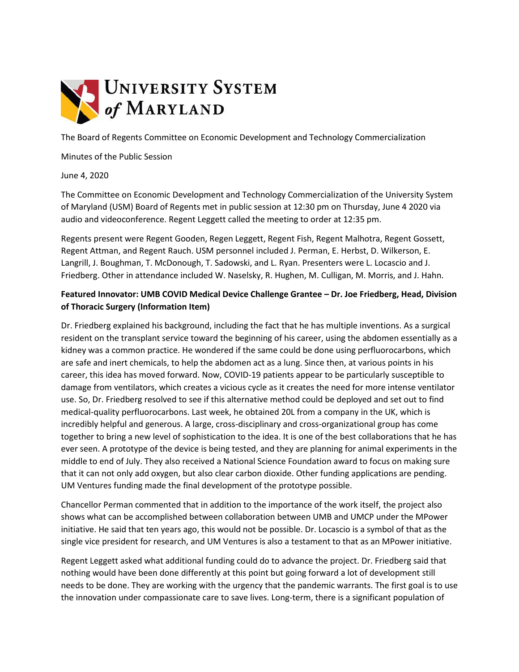

The Board of Regents Committee on Economic Development and Technology Commercialization

Minutes of the Public Session

June 4, 2020

The Committee on Economic Development and Technology Commercialization of the University System of Maryland (USM) Board of Regents met in public session at 12:30 pm on Thursday, June 4 2020 via audio and videoconference. Regent Leggett called the meeting to order at 12:35 pm.

Regents present were Regent Gooden, Regen Leggett, Regent Fish, Regent Malhotra, Regent Gossett, Regent Attman, and Regent Rauch. USM personnel included J. Perman, E. Herbst, D. Wilkerson, E. Langrill, J. Boughman, T. McDonough, T. Sadowski, and L. Ryan. Presenters were L. Locascio and J. Friedberg. Other in attendance included W. Naselsky, R. Hughen, M. Culligan, M. Morris, and J. Hahn.

## **Featured Innovator: UMB COVID Medical Device Challenge Grantee – Dr. Joe Friedberg, Head, Division of Thoracic Surgery (Information Item)**

Dr. Friedberg explained his background, including the fact that he has multiple inventions. As a surgical resident on the transplant service toward the beginning of his career, using the abdomen essentially as a kidney was a common practice. He wondered if the same could be done using perfluorocarbons, which are safe and inert chemicals, to help the abdomen act as a lung. Since then, at various points in his career, this idea has moved forward. Now, COVID-19 patients appear to be particularly susceptible to damage from ventilators, which creates a vicious cycle as it creates the need for more intense ventilator use. So, Dr. Friedberg resolved to see if this alternative method could be deployed and set out to find medical-quality perfluorocarbons. Last week, he obtained 20L from a company in the UK, which is incredibly helpful and generous. A large, cross-disciplinary and cross-organizational group has come together to bring a new level of sophistication to the idea. It is one of the best collaborations that he has ever seen. A prototype of the device is being tested, and they are planning for animal experiments in the middle to end of July. They also received a National Science Foundation award to focus on making sure that it can not only add oxygen, but also clear carbon dioxide. Other funding applications are pending. UM Ventures funding made the final development of the prototype possible.

Chancellor Perman commented that in addition to the importance of the work itself, the project also shows what can be accomplished between collaboration between UMB and UMCP under the MPower initiative. He said that ten years ago, this would not be possible. Dr. Locascio is a symbol of that as the single vice president for research, and UM Ventures is also a testament to that as an MPower initiative.

Regent Leggett asked what additional funding could do to advance the project. Dr. Friedberg said that nothing would have been done differently at this point but going forward a lot of development still needs to be done. They are working with the urgency that the pandemic warrants. The first goal is to use the innovation under compassionate care to save lives. Long-term, there is a significant population of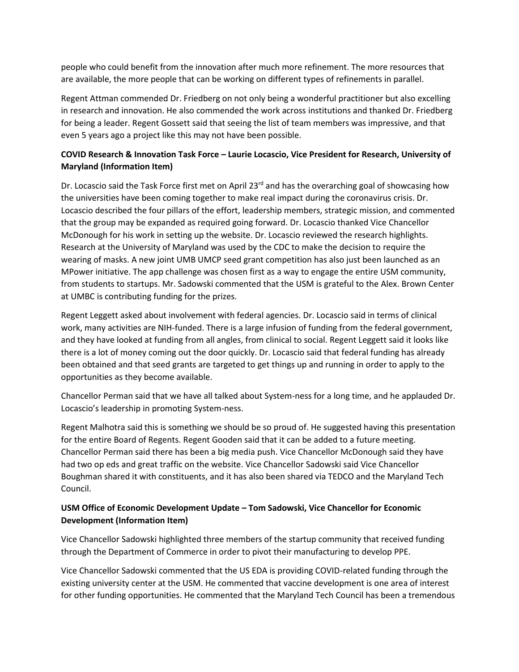people who could benefit from the innovation after much more refinement. The more resources that are available, the more people that can be working on different types of refinements in parallel.

Regent Attman commended Dr. Friedberg on not only being a wonderful practitioner but also excelling in research and innovation. He also commended the work across institutions and thanked Dr. Friedberg for being a leader. Regent Gossett said that seeing the list of team members was impressive, and that even 5 years ago a project like this may not have been possible.

## **COVID Research & Innovation Task Force – Laurie Locascio, Vice President for Research, University of Maryland (Information Item)**

Dr. Locascio said the Task Force first met on April 23 $<sup>rd</sup>$  and has the overarching goal of showcasing how</sup> the universities have been coming together to make real impact during the coronavirus crisis. Dr. Locascio described the four pillars of the effort, leadership members, strategic mission, and commented that the group may be expanded as required going forward. Dr. Locascio thanked Vice Chancellor McDonough for his work in setting up the website. Dr. Locascio reviewed the research highlights. Research at the University of Maryland was used by the CDC to make the decision to require the wearing of masks. A new joint UMB UMCP seed grant competition has also just been launched as an MPower initiative. The app challenge was chosen first as a way to engage the entire USM community, from students to startups. Mr. Sadowski commented that the USM is grateful to the Alex. Brown Center at UMBC is contributing funding for the prizes.

Regent Leggett asked about involvement with federal agencies. Dr. Locascio said in terms of clinical work, many activities are NIH-funded. There is a large infusion of funding from the federal government, and they have looked at funding from all angles, from clinical to social. Regent Leggett said it looks like there is a lot of money coming out the door quickly. Dr. Locascio said that federal funding has already been obtained and that seed grants are targeted to get things up and running in order to apply to the opportunities as they become available.

Chancellor Perman said that we have all talked about System-ness for a long time, and he applauded Dr. Locascio's leadership in promoting System-ness.

Regent Malhotra said this is something we should be so proud of. He suggested having this presentation for the entire Board of Regents. Regent Gooden said that it can be added to a future meeting. Chancellor Perman said there has been a big media push. Vice Chancellor McDonough said they have had two op eds and great traffic on the website. Vice Chancellor Sadowski said Vice Chancellor Boughman shared it with constituents, and it has also been shared via TEDCO and the Maryland Tech Council.

## **USM Office of Economic Development Update – Tom Sadowski, Vice Chancellor for Economic Development (Information Item)**

Vice Chancellor Sadowski highlighted three members of the startup community that received funding through the Department of Commerce in order to pivot their manufacturing to develop PPE.

Vice Chancellor Sadowski commented that the US EDA is providing COVID-related funding through the existing university center at the USM. He commented that vaccine development is one area of interest for other funding opportunities. He commented that the Maryland Tech Council has been a tremendous